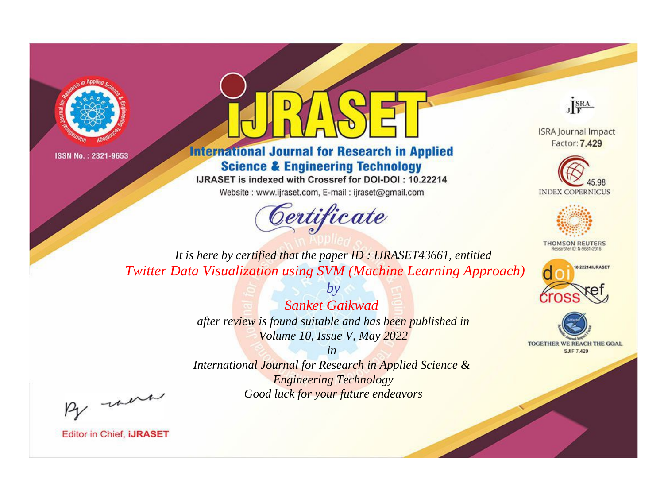



**International Journal for Research in Applied Science & Engineering Technology** 

IJRASET is indexed with Crossref for DOI-DOI: 10.22214

Website: www.ijraset.com, E-mail: ijraset@gmail.com



JERA

**ISRA Journal Impact** Factor: 7.429





**THOMSON REUTERS** 



TOGETHER WE REACH THE GOAL **SJIF 7.429** 

*It is here by certified that the paper ID : IJRASET43661, entitled Twitter Data Visualization using SVM (Machine Learning Approach)*

> *by Sanket Gaikwad after review is found suitable and has been published in Volume 10, Issue V, May 2022*

> > *in*

*International Journal for Research in Applied Science & Engineering Technology Good luck for your future endeavors*

By morn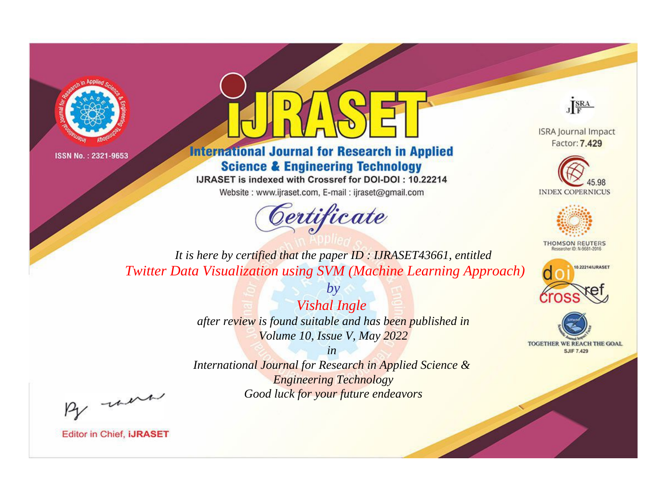



**International Journal for Research in Applied Science & Engineering Technology** 

IJRASET is indexed with Crossref for DOI-DOI: 10.22214

Website: www.ijraset.com, E-mail: ijraset@gmail.com



JERA

**ISRA Journal Impact** Factor: 7.429





**THOMSON REUTERS** 



TOGETHER WE REACH THE GOAL **SJIF 7.429** 

*It is here by certified that the paper ID : IJRASET43661, entitled Twitter Data Visualization using SVM (Machine Learning Approach)*

> *Vishal Ingle after review is found suitable and has been published in Volume 10, Issue V, May 2022*

*by*

*in* 

*International Journal for Research in Applied Science & Engineering Technology Good luck for your future endeavors*

By morn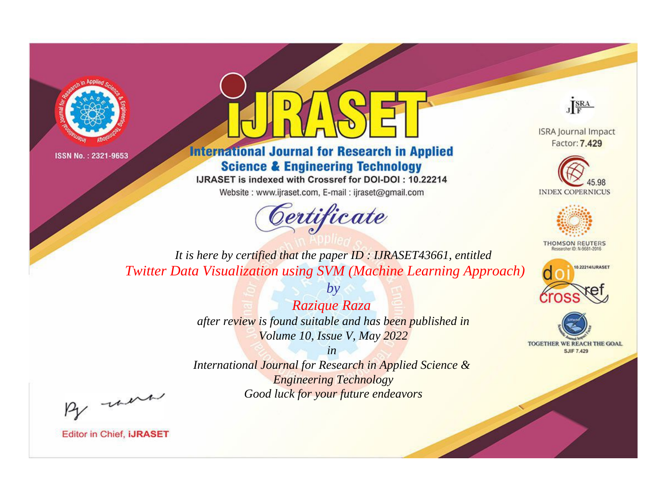



**International Journal for Research in Applied Science & Engineering Technology** 

IJRASET is indexed with Crossref for DOI-DOI: 10.22214

Website: www.ijraset.com, E-mail: ijraset@gmail.com



JERA

**ISRA Journal Impact** Factor: 7.429





**THOMSON REUTERS** 



TOGETHER WE REACH THE GOAL **SJIF 7.429** 

*It is here by certified that the paper ID : IJRASET43661, entitled Twitter Data Visualization using SVM (Machine Learning Approach)*

> *Razique Raza after review is found suitable and has been published in Volume 10, Issue V, May 2022*

*by*

*in* 

*International Journal for Research in Applied Science & Engineering Technology Good luck for your future endeavors*

By morn